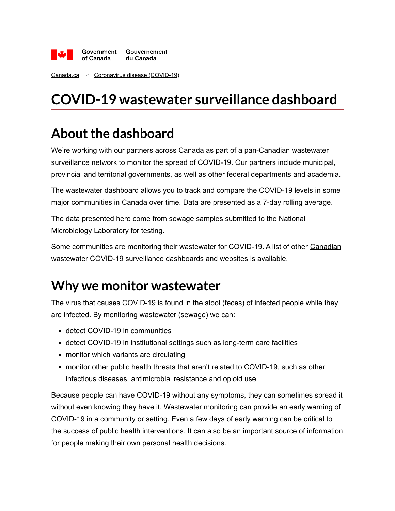

[Canada.ca](https://www.canada.ca/en.html) > [Coronavirus disease \(COVID-19\)](https://www.canada.ca/en/public-health/services/diseases/coronavirus-disease-covid-19.html)

# **COVID-19 wastewater surveillance dashboard**

### **About the dashboard**

We're working with our partners across Canada as part of a pan-Canadian wastewater surveillance network to monitor the spread of COVID-19. Our partners include municipal, provincial and territorial governments, as well as other federal departments and academia.

The wastewater dashboard allows you to track and compare the COVID-19 levels in some major communities in Canada over time. Data are presented as a 7-day rolling average.

The data presented here come from sewage samples submitted to the National Microbiology Laboratory for testing.

[Some communities are monitoring their wastewater for COVID-19. A list of other Canadian](https://localhost/en/covid-19/wastewater/#links) wastewater COVID-19 surveillance dashboards and websites is available.

### **Why we monitor wastewater**

The virus that causes COVID-19 is found in the stool (feces) of infected people while they are infected. By monitoring wastewater (sewage) we can:

- detect COVID-19 in communities
- detect COVID-19 in institutional settings such as long-term care facilities
- monitor which variants are circulating
- monitor other public health threats that aren't related to COVID-19, such as other infectious diseases, antimicrobial resistance and opioid use

Because people can have COVID-19 without any symptoms, they can sometimes spread it without even knowing they have it. Wastewater monitoring can provide an early warning of COVID-19 in a community or setting. Even a few days of early warning can be critical to the success of public health interventions. It can also be an important source of information for people making their own personal health decisions.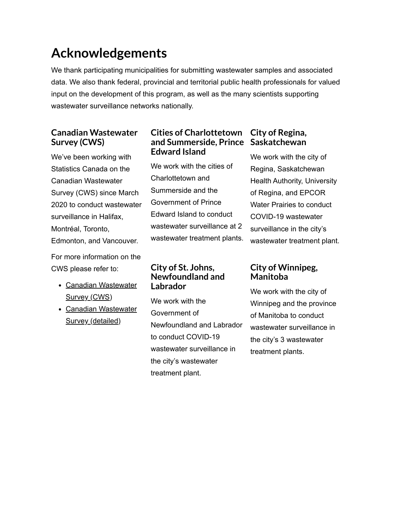## **Acknowledgements**

We thank participating municipalities for submitting wastewater samples and associated data. We also thank federal, provincial and territorial public health professionals for valued input on the development of this program, as well as the many scientists supporting wastewater surveillance networks nationally.

#### **Canadian Wastewater Survey (CWS)**

We've been working with Statistics Canada on the Canadian Wastewater Survey (CWS) since March 2020 to conduct wastewater surveillance in Halifax, Montréal, Toronto, Edmonton, and Vancouver.

For more information on the CWS please refer to:

- [Canadian Wastewater](https://www.statcan.gc.ca/eng/survey/business/5280) Survey (CWS)
- [Canadian Wastewater](https://www23.statcan.gc.ca/imdb/p2SV.pl?Function=getSurvey&SDDS=5280) Survey (detailed)

#### **Cities of Charlottetown and Summerside, Prince Saskatchewan Edward Island**

We work with the cities of Charlottetown and Summerside and the Government of Prince Edward Island to conduct wastewater surveillance at 2 wastewater treatment plants.

#### **City of St. Johns, Newfoundland and Labrador**

We work with the Government of Newfoundland and Labrador to conduct COVID-19 wastewater surveillance in the city's wastewater treatment plant.

# **City of Regina,**

We work with the city of Regina, Saskatchewan Health Authority, University of Regina, and EPCOR Water Prairies to conduct COVID-19 wastewater surveillance in the city's wastewater treatment plant.

#### **City of Winnipeg, Manitoba**

We work with the city of Winnipeg and the province of Manitoba to conduct wastewater surveillance in the city's 3 wastewater treatment plants.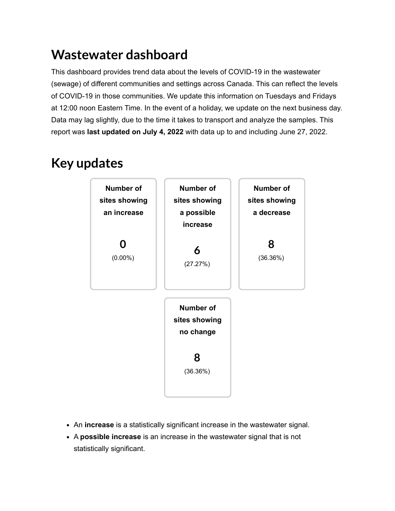### **Wastewater dashboard**

This dashboard provides trend data about the levels of COVID-19 in the wastewater (sewage) of different communities and settings across Canada. This can reflect the levels of COVID-19 in those communities. We update this information on Tuesdays and Fridays at 12:00 noon Eastern Time. In the event of a holiday, we update on the next business day. Data may lag slightly, due to the time it takes to transport and analyze the samples. This report was **last updated on July 4, 2022** with data up to and including June 27, 2022.

### **Key updates**



- An **increase** is a statistically significant increase in the wastewater signal.
- A **possible increase** is an increase in the wastewater signal that is not statistically significant.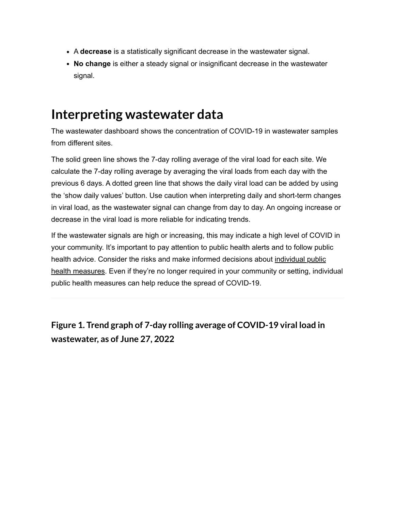- A **decrease** is a statistically significant decrease in the wastewater signal.
- **No change** is either a steady signal or insignificant decrease in the wastewater signal.

### **Interpreting wastewater data**

The wastewater dashboard shows the concentration of COVID-19 in wastewater samples from different sites.

The solid green line shows the 7-day rolling average of the viral load for each site. We calculate the 7-day rolling average by averaging the viral loads from each day with the previous 6 days. A dotted green line that shows the daily viral load can be added by using the 'show daily values' button. Use caution when interpreting daily and short-term changes in viral load, as the wastewater signal can change from day to day. An ongoing increase or decrease in the viral load is more reliable for indicating trends.

If the wastewater signals are high or increasing, this may indicate a high level of COVID in your community. It's important to pay attention to public health alerts and to follow public [health advice. Consider the risks and make informed decisions about individual public](https://www.canada.ca/en/public-health/services/diseases/2019-novel-coronavirus-infection/prevention-risks.html) health measures. Even if they're no longer required in your community or setting, individual public health measures can help reduce the spread of COVID-19.

**Figure 1. Trend graph of 7-day rolling average of COVID-19 viral load in wastewater, as of June 27, 2022**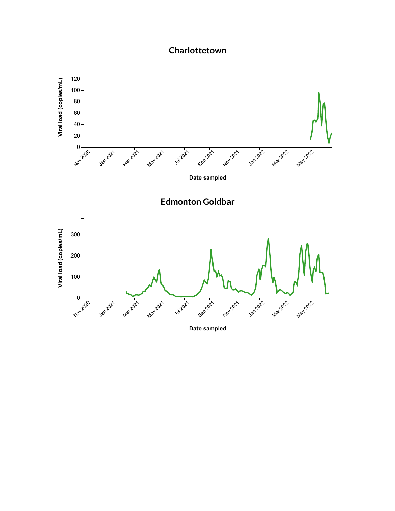#### **Charlottetown**

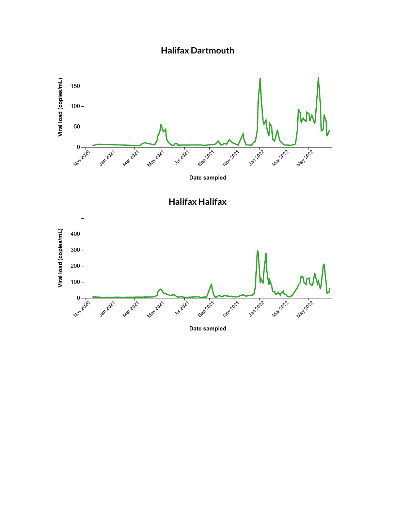





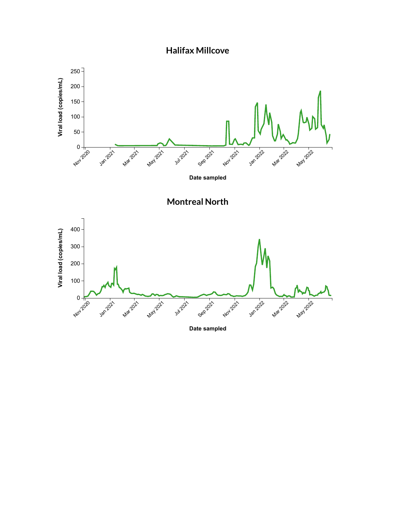

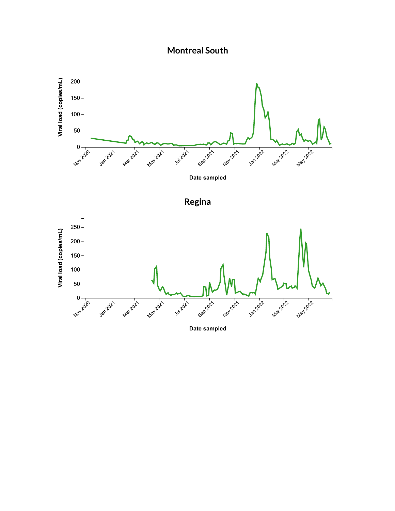







**Date sampled**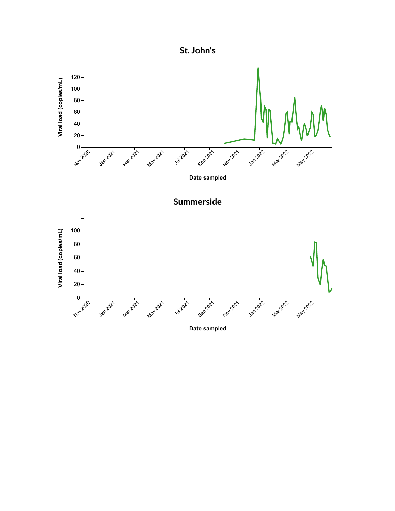

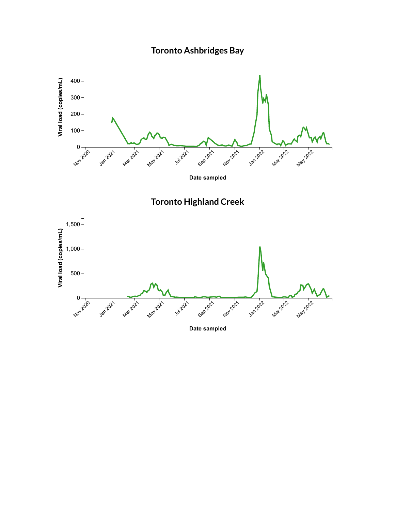





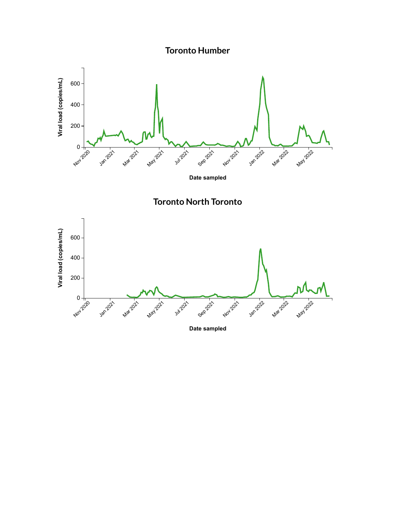**Toronto Humber**





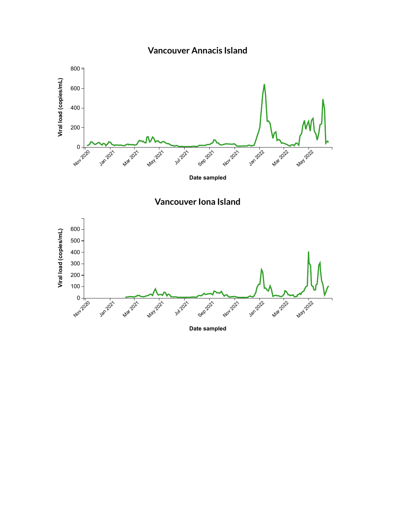







**Date sampled**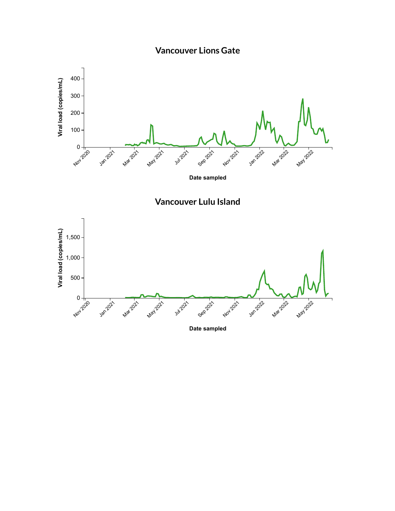





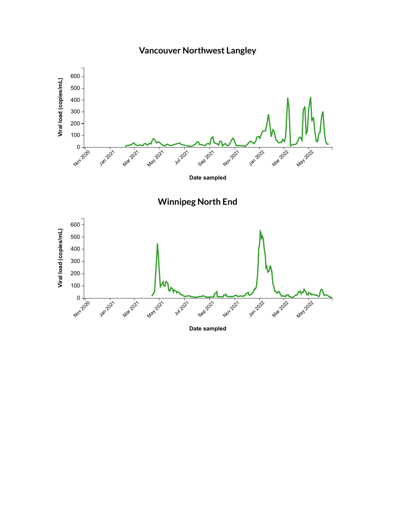

#### **Vancouver Northwest Langley**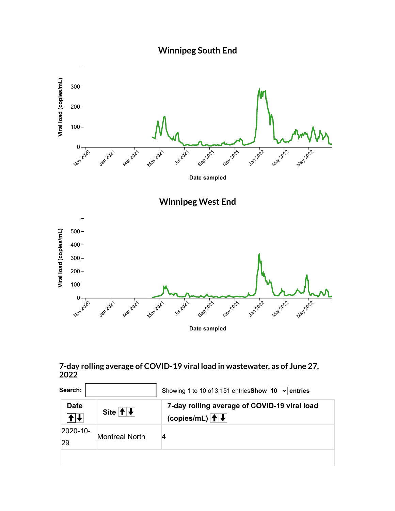



#### **7-day rolling average of COVID-19 viral load in wastewater, as of June 27, 2022**

| Search:           |                                  | Showing 1 to 10 of 3,151 entries Show   10 $\rightarrow$   entries      |
|-------------------|----------------------------------|-------------------------------------------------------------------------|
| <b>Date</b><br>╉∦ | Site $ \! \! \cdot \! \! \! \! $ | 7-day rolling average of COVID-19 viral load<br>(copies/mL) $  \cdot  $ |
| 2020-10-<br>29    | <b>Montreal North</b>            |                                                                         |
|                   |                                  |                                                                         |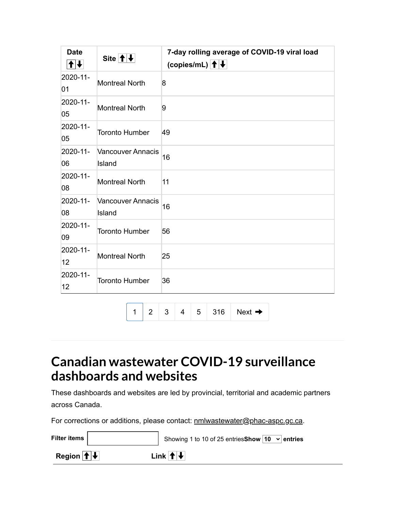| <b>Date</b><br>$ \mathbf{t} $ | Site $ \uparrow $                  | 7-day rolling average of COVID-19 viral load<br>(copies/mL) $ \hspace{-1.5pt} $ $\hspace{-1.5pt}$ $ \hspace{-1.5pt} $ |
|-------------------------------|------------------------------------|-----------------------------------------------------------------------------------------------------------------------|
| 2020-11-<br>01                | <b>Montreal North</b>              | 8                                                                                                                     |
| 2020-11-<br>05                | <b>Montreal North</b>              | 9                                                                                                                     |
| 2020-11-<br>05                | <b>Toronto Humber</b>              | 49                                                                                                                    |
| 2020-11-<br>06                | <b>Vancouver Annacis</b><br>Island | 16                                                                                                                    |
| 2020-11-<br>08                | <b>Montreal North</b>              | 11                                                                                                                    |
| 2020-11-<br>08                | <b>Vancouver Annacis</b><br>Island | 16                                                                                                                    |
| 2020-11-<br>09                | <b>Toronto Humber</b>              | 56                                                                                                                    |
| 2020-11-<br>12                | <b>Montreal North</b>              | 25                                                                                                                    |
| 2020-11-<br>12                | <b>Toronto Humber</b>              | 36                                                                                                                    |
|                               | $\overline{2}$<br>1                | 3<br>5<br>316<br>4<br>Next $\rightarrow$                                                                              |

### **Canadian wastewater COVID-19 surveillance dashboards and websites**

These dashboards and websites are led by provincial, territorial and academic partners across Canada.

For corrections or additions, please contact: [nmlwastewater@phac-aspc.gc.ca](mailto:%20nmlwastewater@phac-aspc.gc.ca).

| Filter items                                                                                                               | Showing 1 to 10 of 25 entries Show $\boxed{10 \rightarrow$ entries |
|----------------------------------------------------------------------------------------------------------------------------|--------------------------------------------------------------------|
| Region $ \hspace{-.02in} \hspace{-.02in} \hspace{-.02in}+\hspace{-.02in} \hspace{-.02in} \hspace{-.02in}+\hspace{-.02in} $ | Link $ \! \! \cdot \! \! \! \! \! $                                |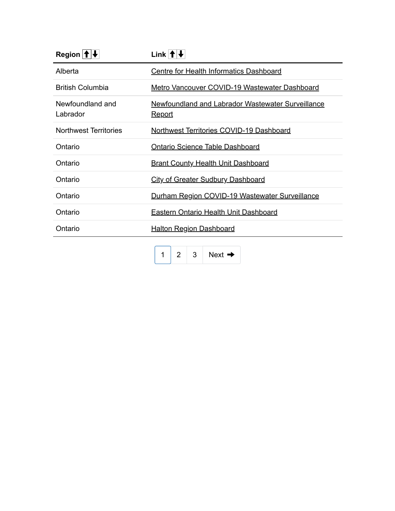| Region $ \hat{\mathbf{f}} $ $\downarrow$ | Link $ \! \! \cdot \! \! \! \! \! $                                |
|------------------------------------------|--------------------------------------------------------------------|
| Alberta                                  | <b>Centre for Health Informatics Dashboard</b>                     |
| <b>British Columbia</b>                  | Metro Vancouver COVID-19 Wastewater Dashboard                      |
| Newfoundland and<br>Labrador             | Newfoundland and Labrador Wastewater Surveillance<br><u>Report</u> |
| Northwest Territories                    | Northwest Territories COVID-19 Dashboard                           |
| Ontario                                  | <b>Ontario Science Table Dashboard</b>                             |
| Ontario                                  | <b>Brant County Health Unit Dashboard</b>                          |
| Ontario                                  | <b>City of Greater Sudbury Dashboard</b>                           |
| Ontario                                  | Durham Region COVID-19 Wastewater Surveillance                     |
| Ontario                                  | Eastern Ontario Health Unit Dashboard                              |
| Ontario                                  | <b>Halton Region Dashboard</b>                                     |

 $1 \mid 2 \mid 3 \mid$  $1 \mid 2 \mid 3 \mid$  $1 \mid 2 \mid 3 \mid$  $1 \mid 2 \mid 3 \mid$  $1 \mid 2 \mid 3 \mid$  $1 \mid 2 \mid 3 \mid$  [Next](javascript:;)  $\rightarrow$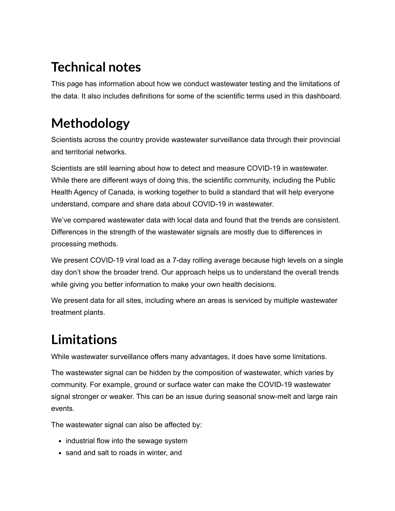# **Technical notes**

This page has information about how we conduct wastewater testing and the limitations of the data. It also includes definitions for some of the scientific terms used in this dashboard.

# **Methodology**

Scientists across the country provide wastewater surveillance data through their provincial and territorial networks.

Scientists are still learning about how to detect and measure COVID-19 in wastewater. While there are different ways of doing this, the scientific community, including the Public Health Agency of Canada, is working together to build a standard that will help everyone understand, compare and share data about COVID-19 in wastewater.

We've compared wastewater data with local data and found that the trends are consistent. Differences in the strength of the wastewater signals are mostly due to differences in processing methods.

We present COVID-19 viral load as a 7-day rolling average because high levels on a single day don't show the broader trend. Our approach helps us to understand the overall trends while giving you better information to make your own health decisions.

We present data for all sites, including where an areas is serviced by multiple wastewater treatment plants.

# **Limitations**

While wastewater surveillance offers many advantages, it does have some limitations.

The wastewater signal can be hidden by the composition of wastewater, which varies by community. For example, ground or surface water can make the COVID-19 wastewater signal stronger or weaker. This can be an issue during seasonal snow-melt and large rain events.

The wastewater signal can also be affected by:

- industrial flow into the sewage system
- sand and salt to roads in winter, and